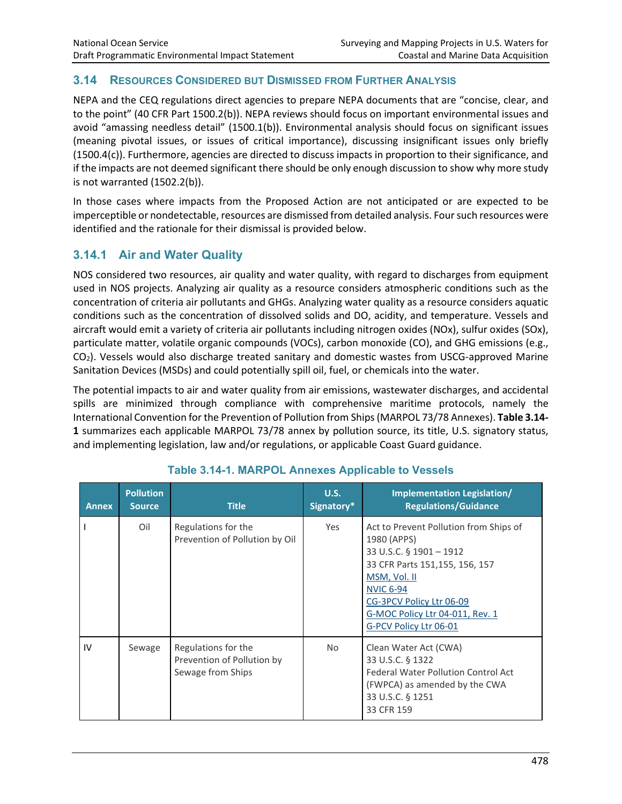#### **3.14 RESOURCES CONSIDERED BUT DISMISSED FROM FURTHER ANALYSIS**

NEPA and the CEQ regulations direct agencies to prepare NEPA documents that are "concise, clear, and to the point" (40 CFR Part 1500.2(b)). NEPA reviews should focus on important environmental issues and avoid "amassing needless detail" (1500.1(b)). Environmental analysis should focus on significant issues (meaning pivotal issues, or issues of critical importance), discussing insignificant issues only briefly (1500.4(c)). Furthermore, agencies are directed to discuss impacts in proportion to their significance, and if the impacts are not deemed significant there should be only enough discussion to show why more study is not warranted (1502.2(b)).

In those cases where impacts from the Proposed Action are not anticipated or are expected to be imperceptible or nondetectable, resources are dismissed from detailed analysis. Four such resources were identified and the rationale for their dismissal is provided below.

# **3.14.1 Air and Water Quality**

NOS considered two resources, air quality and water quality, with regard to discharges from equipment used in NOS projects. Analyzing air quality as a resource considers atmospheric conditions such as the concentration of criteria air pollutants and GHGs. Analyzing water quality as a resource considers aquatic conditions such as the concentration of dissolved solids and DO, acidity, and temperature. Vessels and aircraft would emit a variety of criteria air pollutants including nitrogen oxides (NOx), sulfur oxides (SOx), particulate matter, volatile organic compounds (VOCs), carbon monoxide (CO), and GHG emissions (e.g., CO2). Vessels would also discharge treated sanitary and domestic wastes from USCG-approved Marine Sanitation Devices (MSDs) and could potentially spill oil, fuel, or chemicals into the water.

The potential impacts to air and water quality from air emissions, wastewater discharges, and accidental spills are minimized through compliance with comprehensive maritime protocols, namely the International Convention for the Prevention of Pollution from Ships (MARPOL 73/78 Annexes). **Table 3.14- 1** summarizes each applicable MARPOL 73/78 annex by pollution source, its title, U.S. signatory status, and implementing legislation, law and/or regulations, or applicable Coast Guard guidance.

| <b>Annex</b> | <b>Pollution</b><br><b>Source</b> | <b>Title</b>                                                           | U.S.<br>Signatory* | Implementation Legislation/<br><b>Regulations/Guidance</b>                                                                                                                                                                                      |
|--------------|-----------------------------------|------------------------------------------------------------------------|--------------------|-------------------------------------------------------------------------------------------------------------------------------------------------------------------------------------------------------------------------------------------------|
|              | Oil                               | Regulations for the<br>Prevention of Pollution by Oil                  | Yes                | Act to Prevent Pollution from Ships of<br>1980 (APPS)<br>33 U.S.C. § 1901 - 1912<br>33 CFR Parts 151,155, 156, 157<br>MSM, Vol. II<br><b>NVIC 6-94</b><br>CG-3PCV Policy Ltr 06-09<br>G-MOC Policy Ltr 04-011, Rev. 1<br>G-PCV Policy Ltr 06-01 |
| IV           | Sewage                            | Regulations for the<br>Prevention of Pollution by<br>Sewage from Ships | No.                | Clean Water Act (CWA)<br>33 U.S.C. § 1322<br><b>Federal Water Pollution Control Act</b><br>(FWPCA) as amended by the CWA<br>33 U.S.C. § 1251<br>33 CFR 159                                                                                      |

## **Table 3.14-1. MARPOL Annexes Applicable to Vessels**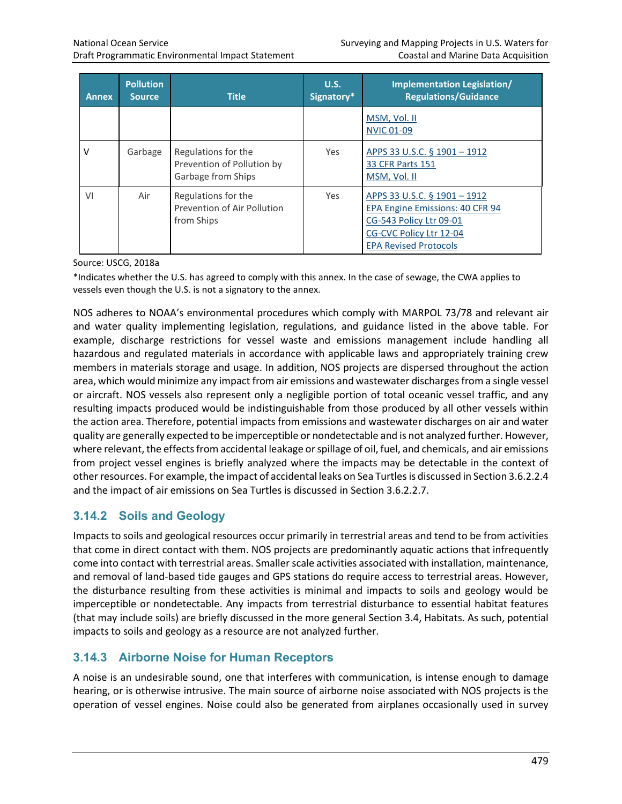| <b>Annex</b> | <b>Pollution</b><br><b>Source</b> | <b>Title</b>                                                            | U.S.<br>Signatory* | Implementation Legislation/<br><b>Regulations/Guidance</b>                                                                                            |
|--------------|-----------------------------------|-------------------------------------------------------------------------|--------------------|-------------------------------------------------------------------------------------------------------------------------------------------------------|
|              |                                   |                                                                         |                    | MSM, Vol. II<br><b>NVIC 01-09</b>                                                                                                                     |
| $\vee$       | Garbage                           | Regulations for the<br>Prevention of Pollution by<br>Garbage from Ships | <b>Yes</b>         | APPS 33 U.S.C. § 1901 - 1912<br><b>33 CFR Parts 151</b><br>MSM, Vol. II                                                                               |
| VI           | Air                               | Regulations for the<br>Prevention of Air Pollution<br>from Ships        | <b>Yes</b>         | APPS 33 U.S.C. § 1901 - 1912<br>EPA Engine Emissions: 40 CFR 94<br>CG-543 Policy Ltr 09-01<br>CG-CVC Policy Ltr 12-04<br><b>EPA Revised Protocols</b> |

Source: USCG, 2018a

\*Indicates whether the U.S. has agreed to comply with this annex. In the case of sewage, the CWA applies to vessels even though the U.S. is not a signatory to the annex.

NOS adheres to NOAA's environmental procedures which comply with MARPOL 73/78 and relevant air and water quality implementing legislation, regulations, and guidance listed in the above table. For example, discharge restrictions for vessel waste and emissions management include handling all hazardous and regulated materials in accordance with applicable laws and appropriately training crew members in materials storage and usage. In addition, NOS projects are dispersed throughout the action area, which would minimize any impact from air emissions and wastewater discharges from a single vessel or aircraft. NOS vessels also represent only a negligible portion of total oceanic vessel traffic, and any resulting impacts produced would be indistinguishable from those produced by all other vessels within the action area. Therefore, potential impacts from emissions and wastewater discharges on air and water quality are generally expected to be imperceptible or nondetectable and is not analyzed further. However, where relevant, the effects from accidental leakage or spillage of oil, fuel, and chemicals, and air emissions from project vessel engines is briefly analyzed where the impacts may be detectable in the context of other resources. For example, the impact of accidental leaks on Sea Turtles is discussed in Section 3.6.2.2.4 and the impact of air emissions on Sea Turtles is discussed in Section 3.6.2.2.7.

# **3.14.2 Soils and Geology**

Impacts to soils and geological resources occur primarily in terrestrial areas and tend to be from activities that come in direct contact with them. NOS projects are predominantly aquatic actions that infrequently come into contact with terrestrial areas. Smaller scale activities associated with installation, maintenance, and removal of land-based tide gauges and GPS stations do require access to terrestrial areas. However, the disturbance resulting from these activities is minimal and impacts to soils and geology would be imperceptible or nondetectable. Any impacts from terrestrial disturbance to essential habitat features (that may include soils) are briefly discussed in the more general Section 3.4, Habitats. As such, potential impacts to soils and geology as a resource are not analyzed further.

# **3.14.3 Airborne Noise for Human Receptors**

A noise is an undesirable sound, one that interferes with communication, is intense enough to damage hearing, or is otherwise intrusive. The main source of airborne noise associated with NOS projects is the operation of vessel engines. Noise could also be generated from airplanes occasionally used in survey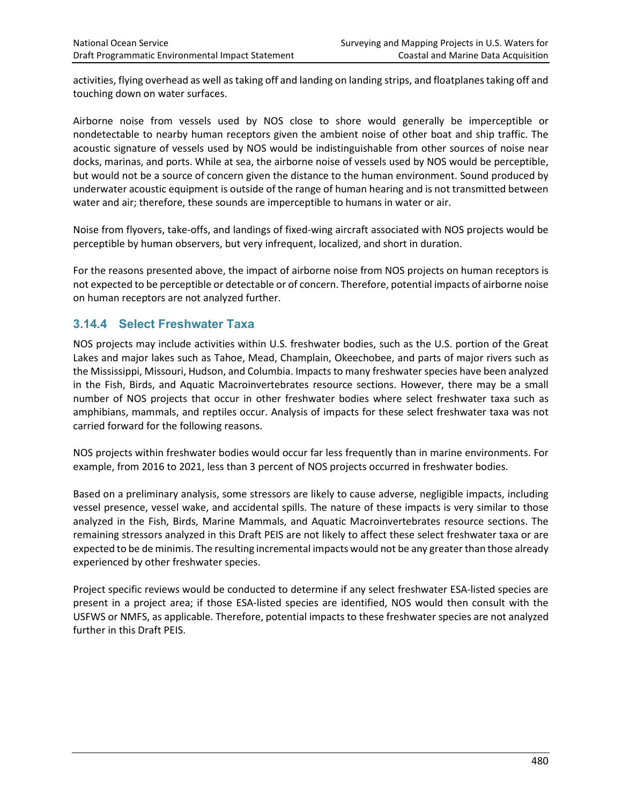activities, flying overhead as well as taking off and landing on landing strips, and floatplanes taking off and touching down on water surfaces.

Airborne noise from vessels used by NOS close to shore would generally be imperceptible or nondetectable to nearby human receptors given the ambient noise of other boat and ship traffic. The acoustic signature of vessels used by NOS would be indistinguishable from other sources of noise near docks, marinas, and ports. While at sea, the airborne noise of vessels used by NOS would be perceptible, but would not be a source of concern given the distance to the human environment. Sound produced by underwater acoustic equipment is outside of the range of human hearing and is not transmitted between water and air; therefore, these sounds are imperceptible to humans in water or air.

Noise from flyovers, take-offs, and landings of fixed-wing aircraft associated with NOS projects would be perceptible by human observers, but very infrequent, localized, and short in duration.

For the reasons presented above, the impact of airborne noise from NOS projects on human receptors is not expected to be perceptible or detectable or of concern. Therefore, potential impacts of airborne noise on human receptors are not analyzed further.

## **3.14.4 Select Freshwater Taxa**

NOS projects may include activities within U.S. freshwater bodies, such as the U.S. portion of the Great Lakes and major lakes such as Tahoe, Mead, Champlain, Okeechobee, and parts of major rivers such as the Mississippi, Missouri, Hudson, and Columbia. Impacts to many freshwater species have been analyzed in the Fish, Birds, and Aquatic Macroinvertebrates resource sections. However, there may be a small number of NOS projects that occur in other freshwater bodies where select freshwater taxa such as amphibians, mammals, and reptiles occur. Analysis of impacts for these select freshwater taxa was not carried forward for the following reasons.

NOS projects within freshwater bodies would occur far less frequently than in marine environments. For example, from 2016 to 2021, less than 3 percent of NOS projects occurred in freshwater bodies.

Based on a preliminary analysis, some stressors are likely to cause adverse, negligible impacts, including vessel presence, vessel wake, and accidental spills. The nature of these impacts is very similar to those analyzed in the Fish, Birds, Marine Mammals, and Aquatic Macroinvertebrates resource sections. The remaining stressors analyzed in this Draft PEIS are not likely to affect these select freshwater taxa or are expected to be de minimis. The resulting incremental impacts would not be any greater than those already experienced by other freshwater species.

Project specific reviews would be conducted to determine if any select freshwater ESA-listed species are present in a project area; if those ESA-listed species are identified, NOS would then consult with the USFWS or NMFS, as applicable. Therefore, potential impacts to these freshwater species are not analyzed further in this Draft PEIS.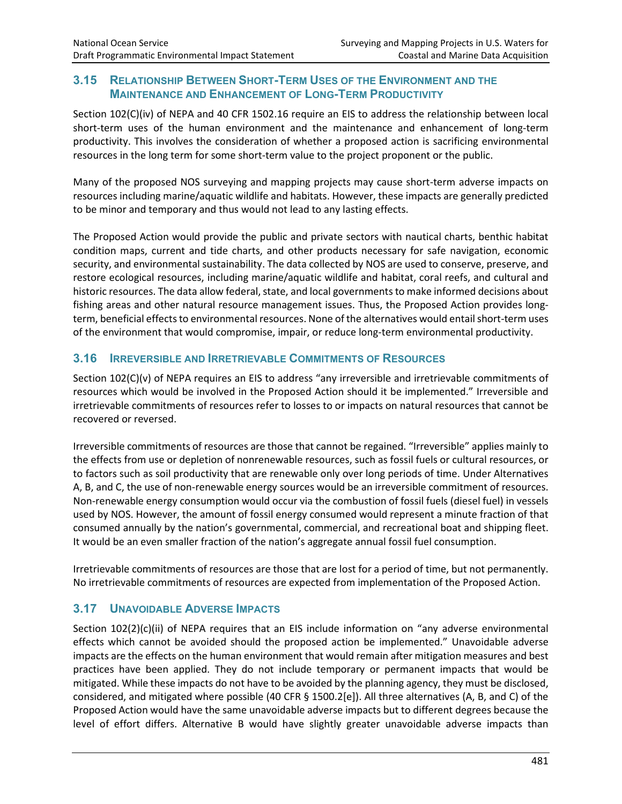#### **3.15 RELATIONSHIP BETWEEN SHORT-TERM USES OF THE ENVIRONMENT AND THE MAINTENANCE AND ENHANCEMENT OF LONG-TERM PRODUCTIVITY**

Section 102(C)(iv) of NEPA and 40 CFR 1502.16 require an EIS to address the relationship between local short-term uses of the human environment and the maintenance and enhancement of long-term productivity. This involves the consideration of whether a proposed action is sacrificing environmental resources in the long term for some short-term value to the project proponent or the public.

Many of the proposed NOS surveying and mapping projects may cause short-term adverse impacts on resources including marine/aquatic wildlife and habitats. However, these impacts are generally predicted to be minor and temporary and thus would not lead to any lasting effects.

The Proposed Action would provide the public and private sectors with nautical charts, benthic habitat condition maps, current and tide charts, and other products necessary for safe navigation, economic security, and environmental sustainability. The data collected by NOS are used to conserve, preserve, and restore ecological resources, including marine/aquatic wildlife and habitat, coral reefs, and cultural and historic resources. The data allow federal, state, and local governments to make informed decisions about fishing areas and other natural resource management issues. Thus, the Proposed Action provides longterm, beneficial effects to environmental resources. None of the alternatives would entail short-term uses of the environment that would compromise, impair, or reduce long-term environmental productivity.

#### **3.16 IRREVERSIBLE AND IRRETRIEVABLE COMMITMENTS OF RESOURCES**

Section 102(C)(v) of NEPA requires an EIS to address "any irreversible and irretrievable commitments of resources which would be involved in the Proposed Action should it be implemented." Irreversible and irretrievable commitments of resources refer to losses to or impacts on natural resources that cannot be recovered or reversed.

Irreversible commitments of resources are those that cannot be regained. "Irreversible" applies mainly to the effects from use or depletion of nonrenewable resources, such as fossil fuels or cultural resources, or to factors such as soil productivity that are renewable only over long periods of time. Under Alternatives A, B, and C, the use of non-renewable energy sources would be an irreversible commitment of resources. Non-renewable energy consumption would occur via the combustion of fossil fuels (diesel fuel) in vessels used by NOS. However, the amount of fossil energy consumed would represent a minute fraction of that consumed annually by the nation's governmental, commercial, and recreational boat and shipping fleet. It would be an even smaller fraction of the nation's aggregate annual fossil fuel consumption.

Irretrievable commitments of resources are those that are lost for a period of time, but not permanently. No irretrievable commitments of resources are expected from implementation of the Proposed Action.

## **3.17 UNAVOIDABLE ADVERSE IMPACTS**

Section 102(2)(c)(ii) of NEPA requires that an EIS include information on "any adverse environmental effects which cannot be avoided should the proposed action be implemented." Unavoidable adverse impacts are the effects on the human environment that would remain after mitigation measures and best practices have been applied. They do not include temporary or permanent impacts that would be mitigated. While these impacts do not have to be avoided by the planning agency, they must be disclosed, considered, and mitigated where possible (40 CFR § 1500.2[e]). All three alternatives (A, B, and C) of the Proposed Action would have the same unavoidable adverse impacts but to different degrees because the level of effort differs. Alternative B would have slightly greater unavoidable adverse impacts than